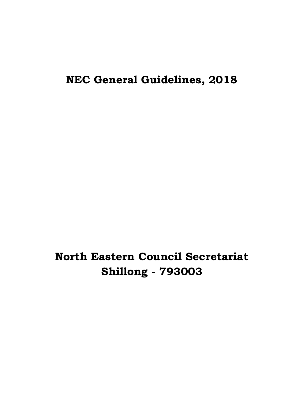**NEC General Guidelines, 2018**

# **North Eastern Council Secretariat Shillong - 793003**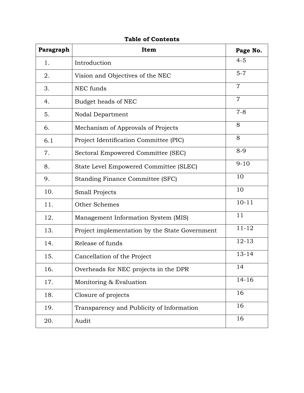| Paragraph | Item                                           | Page No.       |
|-----------|------------------------------------------------|----------------|
| 1.        | Introduction                                   | $4 - 5$        |
| 2.        | Vision and Objectives of the NEC               | $5 - 7$        |
| 3.        | NEC funds                                      | $\overline{7}$ |
| 4.        | Budget heads of NEC                            | $\overline{7}$ |
| 5.        | Nodal Department                               | $7 - 8$        |
| 6.        | Mechanism of Approvals of Projects             | 8              |
| 6.1       | Project Identification Committee (PIC)         | 8              |
| 7.        | Sectoral Empowered Committee (SEC)             | $8 - 9$        |
| 8.        | State Level Empowered Committee (SLEC)         | $9 - 10$       |
| 9.        | Standing Finance Committee (SFC)               | 10             |
| 10.       | <b>Small Projects</b>                          | 10             |
| 11.       | Other Schemes                                  | $10 - 11$      |
| 12.       | Management Information System (MIS)            | 11             |
| 13.       | Project implementation by the State Government | $11 - 12$      |
| 14.       | Release of funds                               | $12 - 13$      |
| 15.       | Cancellation of the Project                    | $13 - 14$      |
| 16.       | Overheads for NEC projects in the DPR          | 14             |
| 17.       | Monitoring & Evaluation                        | $14 - 16$      |
| 18.       | Closure of projects                            | 16             |
| 19.       | Transparency and Publicity of Information      | 16             |
| 20.       | Audit                                          | 16             |

**Table of Contents**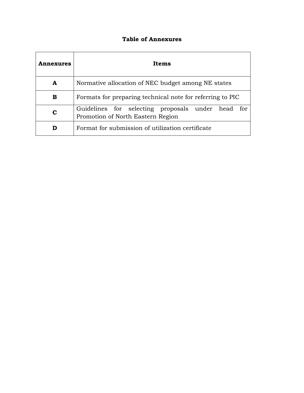## **Table of Annexures**

| nnexures | Items                                                                                     |  |  |  |
|----------|-------------------------------------------------------------------------------------------|--|--|--|
| A        | Normative allocation of NEC budget among NE states                                        |  |  |  |
| в        | Formats for preparing technical note for referring to PIC                                 |  |  |  |
| C        | Guidelines for selecting proposals under head<br>tor<br>Promotion of North Eastern Region |  |  |  |
| D        | Format for submission of utilization certificate                                          |  |  |  |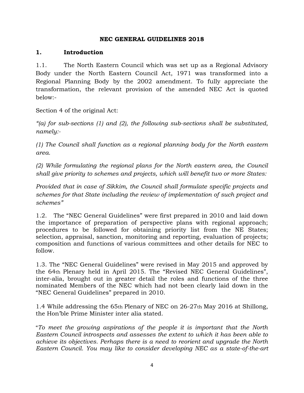#### **NEC GENERAL GUIDELINES 2018**

## **1. Introduction**

1.1. The North Eastern Council which was set up as a Regional Advisory Body under the North Eastern Council Act, 1971 was transformed into a Regional Planning Body by the 2002 amendment. To fully appreciate the transformation, the relevant provision of the amended NEC Act is quoted below:-

Section 4 of the original Act:

*"(a) for sub-sections (1) and (2), the following sub-sections shall be substituted, namely:-*

*(1) The Council shall function as a regional planning body for the North eastern area.*

*(2) While formulating the regional plans for the North eastern area, the Council shall give priority to schemes and projects, which will benefit two or more States:*

*Provided that in case of Sikkim, the Council shall formulate specific projects and schemes for that State including the review of implementation of such project and schemes"*

1.2. The "NEC General Guidelines" were first prepared in 2010 and laid down the importance of preparation of perspective plans with regional approach; procedures to be followed for obtaining priority list from the NE States; selection, appraisal, sanction, monitoring and reporting, evaluation of projects; composition and functions of various committees and other details for NEC to follow.

1.3. The "NEC General Guidelines" were revised in May 2015 and approved by the 64th Plenary held in April 2015. The "Revised NEC General Guidelines", inter-alia, brought out in greater detail the roles and functions of the three nominated Members of the NEC which had not been clearly laid down in the "NEC General Guidelines" prepared in 2010.

1.4 While addressing the 65th Plenary of NEC on 26-27th May 2016 at Shillong, the Hon"ble Prime Minister inter alia stated.

"*To meet the growing aspirations of the people it is important that the North Eastern Council introspects and assesses the extent to which it has been able to achieve its objectives. Perhaps there is a need to reorient and upgrade the North Eastern Council. You may like to consider developing NEC as a state-of-the-art*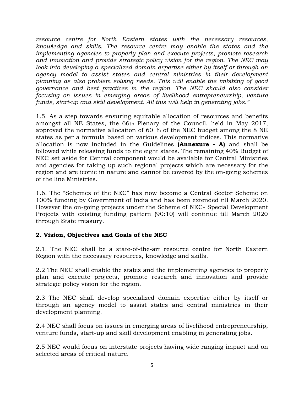*resource centre for North Eastern states with the necessary resources, knowledge and skills. The resource centre may enable the states and the implementing agencies to properly plan and execute projects, promote research and innovation and provide strategic policy vision for the region. The NEC may look into developing a specialized domain expertise either by itself or through an agency model to assist states and central ministries in their development planning as also problem solving needs. This will enable the imbibing of good governance and best practices in the region. The NEC should also consider focusing on issues in emerging areas of livelihood entrepreneurship, venture funds, start-up and skill development. All this will help in generating jobs."*

1.5. As a step towards ensuring equitable allocation of resources and benefits amongst all NE States, the 66th Plenary of the Council, held in May 2017, approved the normative allocation of 60 % of the NEC budget among the 8 NE states as per a formula based on various development indices. This normative allocation is now included in the Guidelines **(Annexure - A)** and shall be followed while releasing funds to the eight states. The remaining 40% Budget of NEC set aside for Central component would be available for Central Ministries and agencies for taking up such regional projects which are necessary for the region and are iconic in nature and cannot be covered by the on-going schemes of the line Ministries.

1.6. The "Schemes of the NEC" has now become a Central Sector Scheme on 100% funding by Government of India and has been extended till March 2020. However the on-going projects under the Scheme of NEC- Special Development Projects with existing funding pattern (90:10) will continue till March 2020 through State treasury.

## **2. Vision, Objectives and Goals of the NEC**

2.1. The NEC shall be a state-of-the-art resource centre for North Eastern Region with the necessary resources, knowledge and skills.

2.2 The NEC shall enable the states and the implementing agencies to properly plan and execute projects, promote research and innovation and provide strategic policy vision for the region.

2.3 The NEC shall develop specialized domain expertise either by itself or through an agency model to assist states and central ministries in their development planning.

2.4 NEC shall focus on issues in emerging areas of livelihood entrepreneurship, venture funds, start-up and skill development enabling in generating jobs.

2.5 NEC would focus on interstate projects having wide ranging impact and on selected areas of critical nature.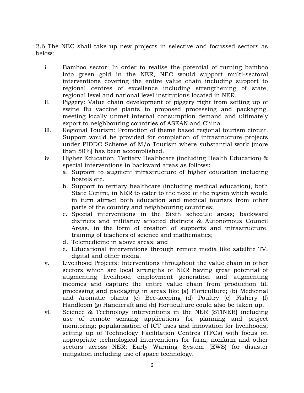2.6 The NEC shall take up new projects in selective and focussed sectors as below:

- i. Bamboo sector: In order to realise the potential of turning bamboo into green gold in the NER, NEC would support multi-sectoral interventions covering the entire value chain including support to regional centres of excellence including strengthening of state, regional level and national level institutions located in NER.
- ii. Piggery: Value chain development of piggery right from setting up of swine flu vaccine plants to proposed processing and packaging, meeting locally unmet internal consumption demand and ultimately export to neighbouring countries of ASEAN and China.
- iii. Regional Tourism: Promotion of theme based regional tourism circuit. Support would be provided for completion of infrastructure projects under PIDDC Scheme of M/o Tourism where substantial work (more than 50%) has been accomplished.
- iv. Higher Education, Tertiary Healthcare (including Health Education) & special interventions in backward areas as follows:
	- a. Support to augment infrastructure of higher education including hostels etc.
	- b. Support to tertiary healthcare (including medical education), both State Centre, in NER to cater to the need of the region which would in turn attract both education and medical tourists from other parts of the country and neighbouring countries;
	- c. Special interventions in the Sixth schedule areas; backward districts and militancy affected districts & Autonomous Council Areas, in the form of creation of supports and infrastructure, training of teachers of science and mathematics;
	- d. Telemedicine in above areas; and
	- e. Educational interventions through remote media like satellite TV, digital and other media.
- v. Livelihood Projects: Interventions throughout the value chain in other sectors which are local strengths of NER having great potential of augmenting livelihood employment generation and augmenting incomes and capture the entire value chain from production till processing and packaging in areas like (a) Floriculture; (b) Medicinal and Aromatic plants (c) Bee-keeping (d) Poultry (e) Fishery (f) Handloom (g) Handicraft and (h) Horticulture could also be taken up.
- vi. Science & Technology interventions in the NER (STINER) including use of remote sensing applications for planning and project monitoring; popularisation of ICT uses and innovation for livelihoods; setting up of Technology Facilitation Centres (TFCs) with focus on appropriate technological interventions for farm, nonfarm and other sectors across NER; Early Warning System (EWS) for disaster mitigation including use of space technology.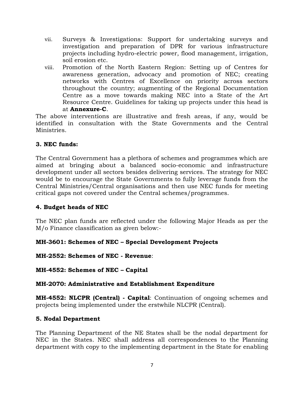- vii. Surveys & Investigations: Support for undertaking surveys and investigation and preparation of DPR for various infrastructure projects including hydro-electric power, flood management, irrigation, soil erosion etc.
- viii. Promotion of the North Eastern Region: Setting up of Centres for awareness generation, advocacy and promotion of NEC; creating networks with Centres of Excellence on priority across sectors throughout the country; augmenting of the Regional Documentation Centre as a move towards making NEC into a State of the Art Resource Centre. Guidelines for taking up projects under this head is at **Annexure-C**.

The above interventions are illustrative and fresh areas, if any, would be identified in consultation with the State Governments and the Central Ministries.

## **3. NEC funds:**

The Central Government has a plethora of schemes and programmes which are aimed at bringing about a balanced socio-economic and infrastructure development under all sectors besides delivering services. The strategy for NEC would be to encourage the State Governments to fully leverage funds from the Central Ministries/Central organisations and then use NEC funds for meeting critical gaps not covered under the Central schemes/programmes.

## **4. Budget heads of NEC**

The NEC plan funds are reflected under the following Major Heads as per the M/o Finance classification as given below:-

## **MH-3601: Schemes of NEC – Special Development Projects**

## **MH-2552: Schemes of NEC - Revenue**:

**MH-4552: Schemes of NEC – Capital**

#### **MH-2070: Administrative and Establishment Expenditure**

**MH-4552: NLCPR (Central) - Capital**: Continuation of ongoing schemes and projects being implemented under the erstwhile NLCPR (Central).

#### **5. Nodal Department**

The Planning Department of the NE States shall be the nodal department for NEC in the States. NEC shall address all correspondences to the Planning department with copy to the implementing department in the State for enabling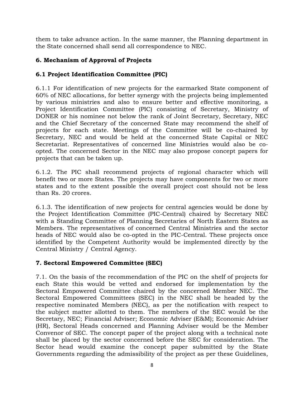them to take advance action. In the same manner, the Planning department in the State concerned shall send all correspondence to NEC.

## **6. Mechanism of Approval of Projects**

## **6.1 Project Identification Committee (PIC)**

6.1.1 For identification of new projects for the earmarked State component of 60% of NEC allocations, for better synergy with the projects being implemented by various ministries and also to ensure better and effective monitoring, a Project Identification Committee (PlC) consisting of Secretary, Ministry of DONER or his nominee not below the rank of Joint Secretary, Secretary, NEC and the Chief Secretary of the concerned State may recommend the shelf of projects for each state. Meetings of the Committee will be co-chaired by Secretary, NEC and would be held at the concerned State Capital or NEC Secretariat. Representatives of concerned line Ministries would also be coopted. The concerned Sector in the NEC may also propose concept papers for projects that can be taken up.

6.1.2. The PIC shall recommend projects of regional character which will benefit two or more States. The projects may have components for two or more states and to the extent possible the overall project cost should not be less than Rs. 20 crores.

6.1.3. The identification of new projects for central agencies would be done by the Project Identification Committee (PIC-Central) chaired by Secretary NEC with a Standing Committee of Planning Secretaries of North Eastern States as Members. The representatives of concerned Central Ministries and the sector heads of NEC would also be co-opted in the PIC-Central. These projects once identified by the Competent Authority would be implemented directly by the Central Ministry / Central Agency.

## **7. Sectoral Empowered Committee (SEC)**

7.1. On the basis of the recommendation of the PIC on the shelf of projects for each State this would be vetted and endorsed for implementation by the Sectoral Empowered Committee chaired by the concerned Member NEC. The Sectoral Empowered Committees (SEC) in the NEC shall be headed by the respective nominated Members (NEC), as per the notification with respect to the subject matter allotted to them. The members of the SEC would be the Secretary, NEC; Financial Adviser; Economic Adviser (E&M); Economic Adviser (HR), Sectoral Heads concerned and Planning Adviser would be the Member Convenor of SEC. The concept paper of the project along with a technical note shall be placed by the sector concerned before the SEC for consideration. The Sector head would examine the concept paper submitted by the State Governments regarding the admissibility of the project as per these Guidelines,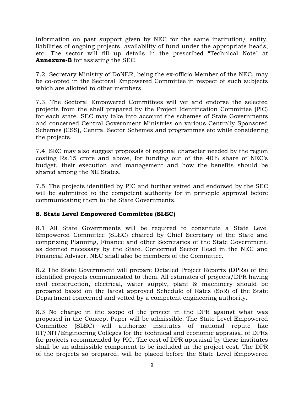information on past support given by NEC for the same institution/ entity, liabilities of ongoing projects, availability of fund under the appropriate heads, etc. The sector will fill up details in the prescribed "Technical Note" at **Annexure-B** for assisting the SEC.

7.2. Secretary Ministry of DoNER, being the ex-officio Member of the NEC, may be co-opted in the Sectoral Empowered Committee in respect of such subjects which are allotted to other members.

7.3. The Sectoral Empowered Committees will vet and endorse the selected projects from the shelf prepared by the Project Identification Committee (PlC) for each state. SEC may take into account the schemes of State Governments and concerned Central Government Ministries on various Centrally Sponsored Schemes (CSS), Central Sector Schemes and programmes etc while considering the projects.

7.4. SEC may also suggest proposals of regional character needed by the region costing Rs.15 crore and above, for funding out of the 40% share of NEC"s budget, their execution and management and how the benefits should be shared among the NE States.

7.5. The projects identified by PIC and further vetted and endorsed by the SEC will be submitted to the competent authority for in principle approval before communicating them to the State Governments.

## **8. State Level Empowered Committee (SLEC)**

8.1 All State Governments will be required to constitute a State Level Empowered Committee (SLEC) chaired by Chief Secretary of the State and comprising Planning, Finance and other Secretaries of the State Government, as deemed necessary by the State. Concerned Sector Head in the NEC and Financial Adviser, NEC shall also be members of the Committee.

8.2 The State Government will prepare Detailed Project Reports (DPRs) of the identified projects communicated to them. All estimates of projects/DPR having civil construction, electrical, water supply, plant & machinery should be prepared based on the latest approved Schedule of Rates (SoR) of the State Department concerned and vetted by a competent engineering authority.

8.3 No change in the scope of the project in the DPR against what was proposed in the Concept Paper will be admissible. The State Level Empowered Committee (SLEC) will authorize institutes of national repute like IIT/NIT/Engineering Colleges for the technical and economic appraisal of DPRs for projects recommended by PIC. The cost of DPR appraisal by these institutes shall be an admissible component to be included in the project cost. The DPR of the projects so prepared, will be placed before the State Level Empowered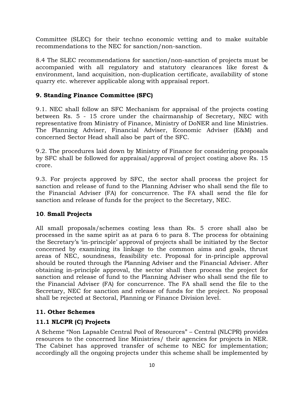Committee (SLEC) for their techno economic vetting and to make suitable recommendations to the NEC for sanction/non-sanction.

8.4 The SLEC recommendations for sanction/non-sanction of projects must be accompanied with all regulatory and statutory clearances like forest & environment, land acquisition, non-duplication certificate, availability of stone quarry etc. wherever applicable along with appraisal report.

## **9. Standing Finance Committee (SFC)**

9.1. NEC shall follow an SFC Mechanism for appraisal of the projects costing between Rs. 5 - 15 crore under the chairmanship of Secretary, NEC with representative from Ministry of Finance, Ministry of DoNER and line Ministries. The Planning Adviser, Financial Adviser, Economic Adviser (E&M) and concerned Sector Head shall also be part of the SFC.

9.2. The procedures laid down by Ministry of Finance for considering proposals by SFC shall be followed for appraisal/approval of project costing above Rs. 15 crore.

9.3. For projects approved by SFC, the sector shall process the project for sanction and release of fund to the Planning Adviser who shall send the file to the Financial Adviser (FA) for concurrence. The FA shall send the file for sanction and release of funds for the project to the Secretary, NEC.

## **10**. **Small Projects**

All small proposals/schemes costing less than Rs. 5 crore shall also be processed in the same spirit as at para 6 to para 8. The process for obtaining the Secretary"s "in-principle" approval of projects shall be initiated by the Sector concerned by examining its linkage to the common aims and goals, thrust areas of NEC, soundness, feasibility etc. Proposal for in-principle approval should be routed through the Planning Adviser and the Financial Adviser. After obtaining in-principle approval, the sector shall then process the project for sanction and release of fund to the Planning Adviser who shall send the file to the Financial Adviser (FA) for concurrence. The FA shall send the file to the Secretary, NEC for sanction and release of funds for the project. No proposal shall be rejected at Sectoral, Planning or Finance Division level.

## **11. Other Schemes**

## **11.1 NLCPR (C) Projects**

A Scheme "Non Lapsable Central Pool of Resources" – Central (NLCPR) provides resources to the concerned line Ministries/ their agencies for projects in NER. The Cabinet has approved transfer of scheme to NEC for implementation; accordingly all the ongoing projects under this scheme shall be implemented by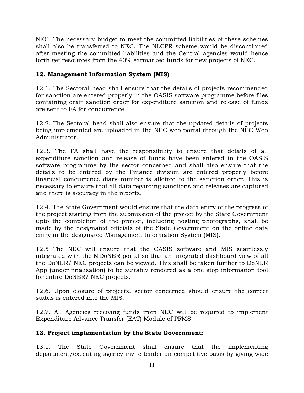NEC. The necessary budget to meet the committed liabilities of these schemes shall also be transferred to NEC. The NLCPR scheme would be discontinued after meeting the committed liabilities and the Central agencies would hence forth get resources from the 40% earmarked funds for new projects of NEC.

## **12. Management Information System (MIS)**

12.1. The Sectoral head shall ensure that the details of projects recommended for sanction are entered properly in the OASIS software programme before files containing draft sanction order for expenditure sanction and release of funds are sent to FA for concurrence.

12.2. The Sectoral head shall also ensure that the updated details of projects being implemented are uploaded in the NEC web portal through the NEC Web Administrator.

12.3. The FA shall have the responsibility to ensure that details of all expenditure sanction and release of funds have been entered in the OASIS software programme by the sector concerned and shall also ensure that the details to be entered by the Finance division are entered properly before financial concurrence diary number is allotted to the sanction order. This is necessary to ensure that all data regarding sanctions and releases are captured and there is accuracy in the reports.

12.4. The State Government would ensure that the data entry of the progress of the project starting from the submission of the project by the State Government upto the completion of the project, including hosting photographs, shall be made by the designated officials of the State Government on the online data entry in the designated Management Information System (MIS).

12.5 The NEC will ensure that the OASIS software and MIS seamlessly integrated with the MDoNER portal so that an integrated dashboard view of all the DoNER/ NEC projects can be viewed. This shall be taken further to DoNER App (under finalisation) to be suitably rendered as a one stop information tool for entire DoNER/ NEC projects.

12.6. Upon closure of projects, sector concerned should ensure the correct status is entered into the MIS.

12.7. All Agencies receiving funds from NEC will be required to implement Expenditure Advance Transfer (EAT) Module of PFMS.

## **13. Project implementation by the State Government:**

13.1. The State Government shall ensure that the implementing department/executing agency invite tender on competitive basis by giving wide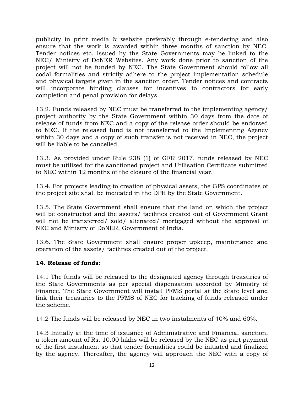publicity in print media & website preferably through e-tendering and also ensure that the work is awarded within three months of sanction by NEC. Tender notices etc. issued by the State Governments may be linked to the NEC/ Ministry of DoNER Websites. Any work done prior to sanction of the project will not be funded by NEC. The State Government should follow all codal formalities and strictly adhere to the project implementation schedule and physical targets given in the sanction order. Tender notices and contracts will incorporate binding clauses for incentives to contractors for early completion and penal provision for delays.

13.2. Funds released by NEC must be transferred to the implementing agency/ project authority by the State Government within 30 days from the date of release of funds from NEC and a copy of the release order should be endorsed to NEC. If the released fund is not transferred to the Implementing Agency within 30 days and a copy of such transfer is not received in NEC, the project will be liable to be cancelled.

13.3. As provided under Rule 238 (1) of GFR 2017, funds released by NEC must be utilized for the sanctioned project and Utilisation Certificate submitted to NEC within 12 months of the closure of the financial year.

13.4. For projects leading to creation of physical assets, the GPS coordinates of the project site shall be indicated in the DPR by the State Government.

13.5. The State Government shall ensure that the land on which the project will be constructed and the assets/ facilities created out of Government Grant will not be transferred/ sold/ alienated/ mortgaged without the approval of NEC and Ministry of DoNER, Government of India.

13.6. The State Government shall ensure proper upkeep, maintenance and operation of the assets/ facilities created out of the project.

#### **14. Release of funds:**

14.1 The funds will be released to the designated agency through treasuries of the State Governments as per special dispensation accorded by Ministry of Finance. The State Government will install PFMS portal at the State level and link their treasuries to the PFMS of NEC for tracking of funds released under the scheme.

14.2 The funds will be released by NEC in two instalments of 40% and 60%.

14.3 Initially at the time of issuance of Administrative and Financial sanction, a token amount of Rs. 10.00 lakhs will be released by the NEC as part payment of the first instalment so that tender formalities could be initiated and finalized by the agency. Thereafter, the agency will approach the NEC with a copy of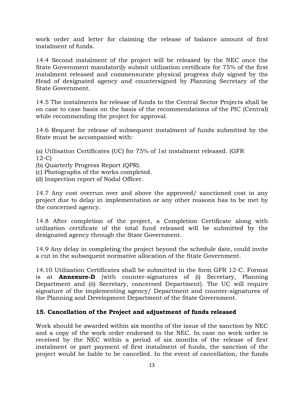work order and letter for claiming the release of balance amount of first instalment of funds.

14.4 Second instalment of the project will be released by the NEC once the State Government mandatorily submit utilization certificate for 75% of the first instalment released and commensurate physical progress duly signed by the Head of designated agency and countersigned by Planning Secretary of the State Government.

14.5 The instalments for release of funds to the Central Sector Projects shall be on case to case basis on the basis of the recommendations of the PIC (Central) while recommending the project for approval.

14.6 Request for release of subsequent instalment of funds submitted by the State must be accompanied with:

(a) Utilisation Certificates (UC) for 75% of 1st instalment released. (GFR 12-C)

- (b) Quarterly Progress Report (QPR).
- (c) Photographs of the works completed.
- (d) Inspection report of Nodal Officer.

14.7 Any cost overrun over and above the approved/ sanctioned cost in any project due to delay in implementation or any other reasons has to be met by the concerned agency.

14.8 After completion of the project, a Completion Certificate along with utilization certificate of the total fund released will be submitted by the designated agency through the State Government.

14.9 Any delay in completing the project beyond the schedule date, could invite a cut in the subsequent normative allocation of the State Government.

14.10 Utilization Certificates shall be submitted in the form GFR 12-C. Format is at **Annexure-D** [with counter-signatures of (i) Secretary, Planning Department and (ii) Secretary, concerned Department]. The UC will require signature of the implementing agency/ Department and counter-signatures of the Planning and Development Department of the State Government.

## **15. Cancellation of the Project and adjustment of funds released**

Work should be awarded within six months of the issue of the sanction by NEC and a copy of the work order endorsed to the NEC. In case no work order is received by the NEC within a period of six months of the release of first instalment or part payment of first instalment of funds, the sanction of the project would be liable to be cancelled. In the event of cancellation, the funds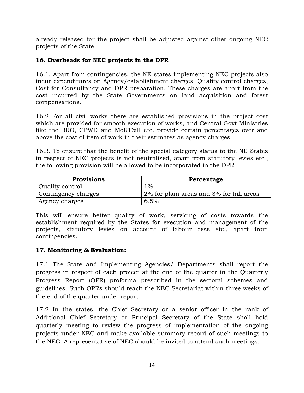already released for the project shall be adjusted against other ongoing NEC projects of the State.

# **16. Overheads for NEC projects in the DPR**

16.1. Apart from contingencies, the NE states implementing NEC projects also incur expenditures on Agency/establishment charges, Quality control charges, Cost for Consultancy and DPR preparation. These charges are apart from the cost incurred by the State Governments on land acquisition and forest compensations.

16.2 For all civil works there are established provisions in the project cost which are provided for smooth execution of works, and Central Govt Ministries like the BRO, CPWD and MoRT&H etc. provide certain percentages over and above the cost of item of work in their estimates as agency charges.

16.3. To ensure that the benefit of the special category status to the NE States in respect of NEC projects is not neutralised, apart from statutory levies etc., the following provision will be allowed to be incorporated in the DPR:

| <b>Provisions</b>      | Percentage                               |
|------------------------|------------------------------------------|
| <b>Quality control</b> | $1\%$                                    |
| Contingency charges    | 2% for plain areas and 3% for hill areas |
| Agency charges         | 6.5%                                     |

This will ensure better quality of work, servicing of costs towards the establishment required by the States for execution and management of the projects, statutory levies on account of labour cess etc., apart from contingencies.

## **17. Monitoring & Evaluation:**

17.1 The State and Implementing Agencies/ Departments shall report the progress in respect of each project at the end of the quarter in the Quarterly Progress Report (QPR) proforma prescribed in the sectoral schemes and guidelines. Such QPRs should reach the NEC Secretariat within three weeks of the end of the quarter under report.

17.2 In the states, the Chief Secretary or a senior officer in the rank of Additional Chief Secretary or Principal Secretary of the State shall hold quarterly meeting to review the progress of implementation of the ongoing projects under NEC and make available summary record of such meetings to the NEC. A representative of NEC should be invited to attend such meetings.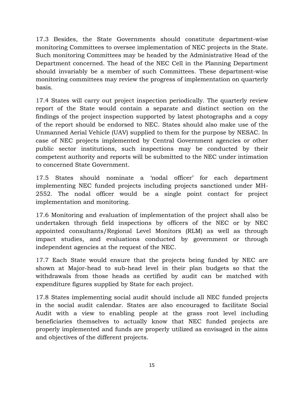17.3 Besides, the State Governments should constitute department-wise monitoring Committees to oversee implementation of NEC projects in the State. Such monitoring Committees may be headed by the Administrative Head of the Department concerned. The head of the NEC Cell in the Planning Department should invariably be a member of such Committees. These department-wise monitoring committees may review the progress of implementation on quarterly basis.

17.4 States will carry out project inspection periodically. The quarterly review report of the State would contain a separate and distinct section on the findings of the project inspection supported by latest photographs and a copy of the report should be endorsed to NEC. States should also make use of the Unmanned Aerial Vehicle (UAV) supplied to them for the purpose by NESAC. In case of NEC projects implemented by Central Government agencies or other public sector institutions, such inspections may be conducted by their competent authority and reports will be submitted to the NEC under intimation to concerned State Government.

17.5 States should nominate a "nodal officer" for each department implementing NEC funded projects including projects sanctioned under MH-2552. The nodal officer would be a single point contact for project implementation and monitoring.

17.6 Monitoring and evaluation of implementation of the project shall also be undertaken through field inspections by officers of the NEC or by NEC appointed consultants/Regional Level Monitors (RLM) as well as through impact studies, and evaluations conducted by government or through independent agencies at the request of the NEC.

17.7 Each State would ensure that the projects being funded by NEC are shown at Major-head to sub-head level in their plan budgets so that the withdrawals from those heads as certified by audit can be matched with expenditure figures supplied by State for each project.

17.8 States implementing social audit should include all NEC funded projects in the social audit calendar. States are also encouraged to facilitate Social Audit with a view to enabling people at the grass root level including beneficiaries themselves to actually know that NEC funded projects are properly implemented and funds are properly utilized as envisaged in the aims and objectives of the different projects.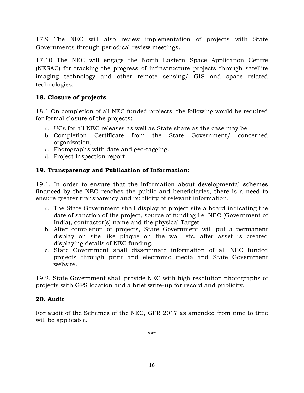17.9 The NEC will also review implementation of projects with State Governments through periodical review meetings.

17.10 The NEC will engage the North Eastern Space Application Centre (NESAC) for tracking the progress of infrastructure projects through satellite imaging technology and other remote sensing/ GIS and space related technologies.

## **18. Closure of projects**

18.1 On completion of all NEC funded projects, the following would be required for formal closure of the projects:

- a. UCs for all NEC releases as well as State share as the case may be.
- b. Completion Certificate from the State Government/ concerned organization.
- c. Photographs with date and geo-tagging.
- d. Project inspection report.

## **19. Transparency and Publication of Information:**

19.1. In order to ensure that the information about developmental schemes financed by the NEC reaches the public and beneficiaries, there is a need to ensure greater transparency and publicity of relevant information.

- a. The State Government shall display at project site a board indicating the date of sanction of the project, source of funding i.e. NEC (Government of India), contractor(s) name and the physical Target.
- b. After completion of projects, State Government will put a permanent display on site like plaque on the wall etc. after asset is created displaying details of NEC funding.
- c. State Government shall disseminate information of all NEC funded projects through print and electronic media and State Government website.

19.2. State Government shall provide NEC with high resolution photographs of projects with GPS location and a brief write-up for record and publicity.

## **20. Audit**

For audit of the Schemes of the NEC, GFR 2017 as amended from time to time will be applicable.

\*\*\*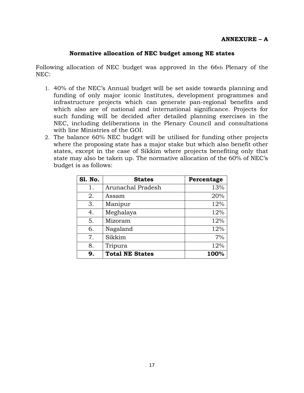#### **ANNEXURE – A**

#### **Normative allocation of NEC budget among NE states**

Following allocation of NEC budget was approved in the 66th Plenary of the NEC:

- 1. 40% of the NEC"s Annual budget will be set aside towards planning and funding of only major iconic Institutes, development programmes and infrastructure projects which can generate pan-regional benefits and which also are of national and international significance. Projects for such funding will be decided after detailed planning exercises in the NEC, including deliberations in the Plenary Council and consultations with line Ministries of the GOI.
- 2. The balance 60% NEC budget will be utilised for funding other projects where the proposing state has a major stake but which also benefit other states, except in the case of Sikkim where projects benefiting only that state may also be taken up. The normative allocation of the 60% of NEC"s budget is as follows:

| <b>S1. No.</b> | <b>States</b>          | Percentage |
|----------------|------------------------|------------|
| 1.             | Arunachal Pradesh      | 13%        |
| 2.             | Assam                  | 20%        |
| 3.             | Manipur                | 12%        |
| 4.             | Meghalaya              | 12%        |
| 5.             | Mizoram                | 12%        |
| 6.             | Nagaland               | 12%        |
| 7.             | Sikkim                 | 7%         |
| 8.             | Tripura                | 12%        |
| 9.             | <b>Total NE States</b> | 100%       |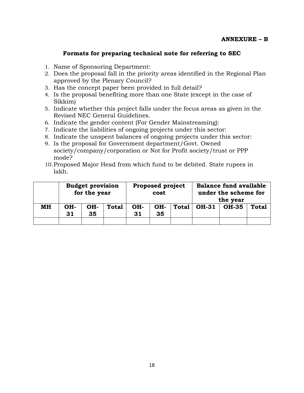#### **Formats for preparing technical note for referring to SEC**

- 1. Name of Sponsoring Department:
- 2. Does the proposal fall in the priority areas identified in the Regional Plan approved by the Plenary Council?
- 3. Has the concept paper been provided in full detail?
- 4. Is the proposal benefiting more than one State (except in the case of Sikkim)
- 5. Indicate whether this project falls under the focus areas as given in the Revised NEC General Guidelines.
- 6. Indicate the gender content (For Gender Mainstreaming):
- 7. Indicate the liabilities of ongoing projects under this sector:
- 8. Indicate the unspent balances of ongoing projects under this sector:
- 9. Is the proposal for Government department/Govt. Owned society/company/corporation or Not for Profit society/trust or PPP mode?
- 10.Proposed Major Head from which fund to be debited. State rupees in lakh.

|    |           | <b>Budget provision</b><br>for the year |              |           | <b>Proposed project</b><br>cost |       |              | <b>Balance fund available</b><br>under the scheme for<br>the year |              |
|----|-----------|-----------------------------------------|--------------|-----------|---------------------------------|-------|--------------|-------------------------------------------------------------------|--------------|
| MН | OH-<br>31 | OH-<br>35                               | <b>Total</b> | OH-<br>31 | OH-<br>35                       | Total | <b>OH-31</b> | <b>OH-35</b>                                                      | <b>Total</b> |
|    |           |                                         |              |           |                                 |       |              |                                                                   |              |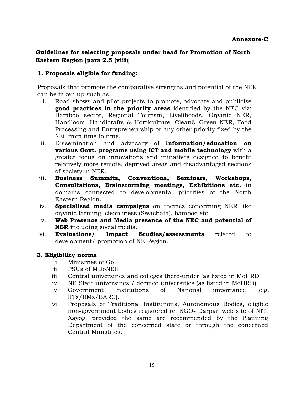## **Guidelines for selecting proposals under head for Promotion of North Eastern Region [para 2.5 (viii)]**

## **1. Proposals eligible for funding:**

Proposals that promote the comparative strengths and potential of the NER can be taken up such as:

- i. Road shows and pilot projects to promote, advocate and publicise **good practices in the priority areas** identified by the NEC viz: Bamboo sector, Regional Tourism, Livelihoods, Organic NER, Handloom, Handicrafts & Horticulture, Clean& Green NER, Food Processing and Entrepreneurship or any other priority fixed by the NEC from time to time.
- ii. Dissemination and advocacy of **information/education on various Govt. programs using ICT and mobile technology** with a greater focus on innovations and initiatives designed to benefit relatively more remote, deprived areas and disadvantaged sections of society in NER.
- iii. **Business Summits, Conventions, Seminars, Workshops, Consultations, Brainstorming meetings, Exhibitions etc.** in domains connected to developmental priorities of the North Eastern Region.
- iv. **Specialised media campaigns** on themes concerning NER like organic farming, cleanliness (Swachata), bamboo etc.
- v. **Web Presence and Media presence of the NEC and potential of NER** including social media.
- vi. **Evaluations/ Impact Studies/assessments** related to development/ promotion of NE Region.

#### **3. Eligibility norms**

- i. Ministries of GoI
- ii. PSUs of MDoNER
- iii. Central universities and colleges there-under (as listed in MoHRD)
- iv. NE State universities / deemed universities (as listed in MoHRD)
- v. Government Institutions of National importance (e.g. IITs/IIMs/BARC).
- vi. Proposals of Traditional Institutions, Autonomous Bodies, eligible non-government bodies registered on NGO- Darpan web site of NITI Aayog, provided the same are recommended by the Planning Department of the concerned state or through the concerned Central Ministries.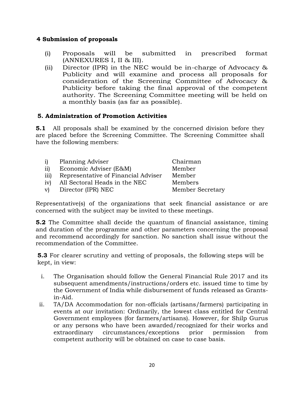#### **4 Submission of proposals**

- (i) Proposals will be submitted in prescribed format (ANNEXURES I, II & III).
- (ii) Director (IPR) in the NEC would be in-charge of Advocacy & Publicity and will examine and process all proposals for consideration of the Screening Committee of Advocacy & Publicity before taking the final approval of the competent authority. The Screening Committee meeting will be held on a monthly basis (as far as possible).

## **5. Administration of Promotion Activities**

**5.1** All proposals shall be examined by the concerned division before they are placed before the Screening Committee. The Screening Committee shall have the following members:

| i)   | Planning Adviser                    | Chairman                |
|------|-------------------------------------|-------------------------|
| ii)  | Economic Adviser (E&M)              | Member                  |
| iii) | Representative of Financial Adviser | Member                  |
| iv)  | All Sectoral Heads in the NEC       | Members                 |
| V    | Director (IPR) NEC                  | <b>Member Secretary</b> |

Representative(s) of the organizations that seek financial assistance or are concerned with the subject may be invited to these meetings.

**5.2** The Committee shall decide the quantum of financial assistance, timing and duration of the programme and other parameters concerning the proposal and recommend accordingly for sanction. No sanction shall issue without the recommendation of the Committee.

**5.3** For clearer scrutiny and vetting of proposals, the following steps will be kept, in view:

- i. The Organisation should follow the General Financial Rule 2017 and its subsequent amendments/instructions/orders etc. issued time to time by the Government of India while disbursement of funds released as Grantsin-Aid.
- ii. TA/DA Accommodation for non-officials (artisans/farmers) participating in events at our invitation: Ordinarily, the lowest class entitled for Central Government employees (for farmers/artisans). However, for Shilp Gurus or any persons who have been awarded/recognized for their works and extraordinary circumstances/exceptions prior permission from competent authority will be obtained on case to case basis.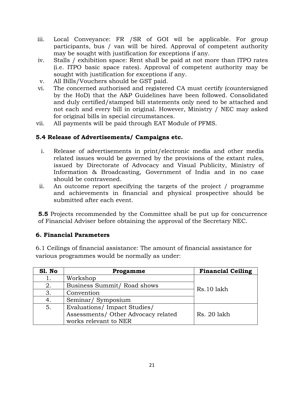- iii. Local Conveyance: FR /SR of GOI will be applicable. For group participants, bus / van will be hired. Approval of competent authority may be sought with justification for exceptions if any.
- iv. Stalls / exhibition space: Rent shall be paid at not more than ITPO rates (i.e. ITPO basic space rates). Approval of competent authority may be sought with justification for exceptions if any.
- v. All Bills/Vouchers should be GST paid.
- vi. The concerned authorised and registered CA must certify (countersigned by the HoD) that the A&P Guidelines have been followed. Consolidated and duly certified/stamped bill statements only need to be attached and not each and every bill in original. However, Ministry / NEC may asked for original bills in special circumstances.
- vii. All payments will be paid through EAT Module of PFMS.

# **5.4 Release of Advertisements/ Campaigns etc.**

- i. Release of advertisements in print/electronic media and other media related issues would be governed by the provisions of the extant rules, issued by Directorate of Advocacy and Visual Publicity, Ministry of Information & Broadcasting, Government of India and in no case should be contravened.
- ii. An outcome report specifying the targets of the project / programme and achievements in financial and physical prospective should be submitted after each event.

**5.5** Projects recommended by the Committee shall be put up for concurrence of Financial Adviser before obtaining the approval of the Secretary NEC.

## **6. Financial Parameters**

6.1 Ceilings of financial assistance: The amount of financial assistance for various programmes would be normally as under:

| Sl. No | Progamme                            | <b>Financial Ceiling</b> |  |
|--------|-------------------------------------|--------------------------|--|
| 1.     | Workshop                            |                          |  |
| 2.     | Business Summit/ Road shows         | Rs.10 lakh               |  |
| 3.     | Convention                          |                          |  |
| 4.     | Seminar/Symposium                   |                          |  |
| 5.     | Evaluations/ Impact Studies/        |                          |  |
|        | Assessments/ Other Advocacy related | Rs. 20 lakh              |  |
|        | works relevant to NER               |                          |  |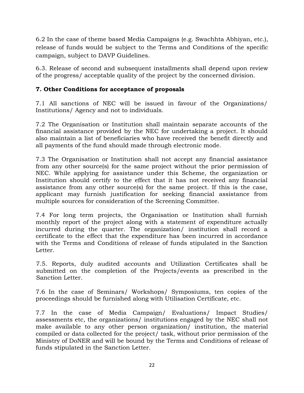6.2 In the case of theme based Media Campaigns (e.g. Swachhta Abhiyan, etc.), release of funds would be subject to the Terms and Conditions of the specific campaign, subject to DAVP Guidelines.

6.3. Release of second and subsequent installments shall depend upon review of the progress/ acceptable quality of the project by the concerned division.

## **7. Other Conditions for acceptance of proposals**

7.1 All sanctions of NEC will be issued in favour of the Organizations/ Institutions/ Agency and not to individuals.

7.2 The Organisation or Institution shall maintain separate accounts of the financial assistance provided by the NEC for undertaking a project. It should also maintain a list of beneficiaries who have received the benefit directly and all payments of the fund should made through electronic mode.

7.3 The Organisation or Institution shall not accept any financial assistance from any other source(s) for the same project without the prior permission of NEC. While applying for assistance under this Scheme, the organization or Institution should certify to the effect that it has not received any financial assistance from any other source(s) for the same project. If this is the case, applicant may furnish justification for seeking financial assistance from multiple sources for consideration of the Screening Committee.

7.4 For long term projects, the Organisation or Institution shall furnish monthly report of the project along with a statement of expenditure actually incurred during the quarter. The organization/ institution shall record a certificate to the effect that the expenditure has been incurred in accordance with the Terms and Conditions of release of funds stipulated in the Sanction Letter.

7.5. Reports, duly audited accounts and Utilization Certificates shall be submitted on the completion of the Projects/events as prescribed in the Sanction Letter.

7.6 In the case of Seminars/ Workshops/ Symposiums, ten copies of the proceedings should be furnished along with Utilisation Certificate, etc.

7.7 In the case of Media Campaign/ Evaluations/ Impact Studies/ assessments etc, the organizations/ institutions engaged by the NEC shall not make available to any other person organization/ institution, the material compiled or data collected for the project/ task, without prior permission of the Ministry of DoNER and will be bound by the Terms and Conditions of release of funds stipulated in the Sanction Letter.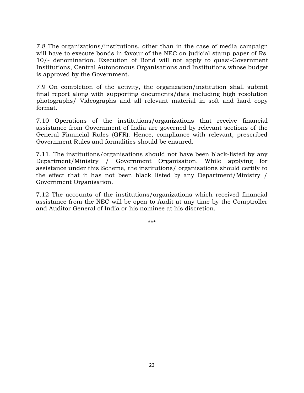7.8 The organizations/institutions, other than in the case of media campaign will have to execute bonds in favour of the NEC on judicial stamp paper of Rs. 10/- denomination. Execution of Bond will not apply to quasi-Government Institutions, Central Autonomous Organisations and Institutions whose budget is approved by the Government.

7.9 On completion of the activity, the organization/institution shall submit final report along with supporting documents/data including high resolution photographs/ Videographs and all relevant material in soft and hard copy format.

7.10 Operations of the institutions/organizations that receive financial assistance from Government of India are governed by relevant sections of the General Financial Rules (GFR). Hence, compliance with relevant, prescribed Government Rules and formalities should be ensured.

7.11. The institutions/organisations should not have been black-listed by any Department/Ministry / Government Organisation. While applying for assistance under this Scheme, the institutions/ organisations should certify to the effect that it has not been black listed by any Department/Ministry / Government Organisation.

7.12 The accounts of the institutions/organizations which received financial assistance from the NEC will be open to Audit at any time by the Comptroller and Auditor General of India or his nominee at his discretion.

\*\*\*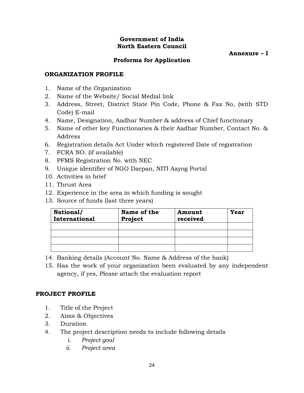#### **Government of India North Eastern Council**

**Annexure – I**

## **Proforma for Application**

#### **ORGANIZATION PROFILE**

- 1. Name of the Organization
- 2. Name of the Website/ Social Medial link
- 3. Address, Street, District State Pin Code, Phone & Fax No, (with STD Code) E-mail
- 4. Name, Designation, Aadhar Number & address of Chief functionary
- 5. Name of other key Functionaries & their Aadhar Number, Contact No. & Address
- 6. Registration details Act Under which registered Date of registration
- 7. FCRA NO. (if available)
- 8. PFMS Registration No. with NEC
- 9. Unique identifier of NGO Darpan, NITI Aayog Portal
- 10. Activities in brief
- 11. Thrust Area
- 12. Experience in the area in which funding is sought
- 13. Source of funds (last three years)

| National/<br>International | Name of the<br>Project | Amount<br>received | Year |
|----------------------------|------------------------|--------------------|------|
|                            |                        |                    |      |
|                            |                        |                    |      |
|                            |                        |                    |      |
|                            |                        |                    |      |

- 14. Banking details (Account No. Name & Address of the bank)
- 15. Has the work of your organization been evaluated by any independent agency, if yes, Please attach the evaluation report

#### **PROJECT PROFILE**

- 1. Title of the Project
- 2. Aims & Objectives
- 3. Duration
- 4. The project description needs to include following details
	- *i. Project goal*
	- *ii. Project area*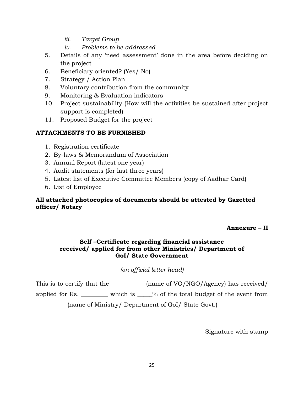- *iii. Target Group*
- *iv. Problems to be addressed*
- 5. Details of any "need assessment" done in the area before deciding on the project
- 6. Beneficiary oriented? (Yes/ No)
- 7. Strategy / Action Plan
- 8. Voluntary contribution from the community
- 9. Monitoring & Evaluation indicators
- 10. Project sustainability (How will the activities be sustained after project support is completed)
- 11. Proposed Budget for the project

## **ATTACHMENTS TO BE FURNISHED**

- 1. Registration certificate
- 2. By-laws & Memorandum of Association
- 3. Annual Report (latest one year)
- 4. Audit statements (for last three years)
- 5. Latest list of Executive Committee Members (copy of Aadhar Card)
- 6. List of Employee

## **All attached photocopies of documents should be attested by Gazetted officer/ Notary**

#### **Annexure – II**

## **Self –Certificate regarding financial assistance received/ applied for from other Ministries/ Department of GoI/ State Government**

## *(on official letter head)*

This is to certify that the \_\_\_\_\_\_\_\_\_\_\_\_ (name of VO/NGO/Agency) has received/

applied for Rs. \_\_\_\_\_\_\_\_\_ which is \_\_\_\_\_% of the total budget of the event from

\_\_\_\_\_\_\_\_\_\_ (name of Ministry/ Department of GoI/ State Govt.)

Signature with stamp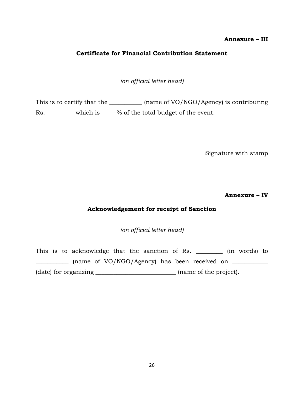#### **Annexure – III**

#### **Certificate for Financial Contribution Statement**

*(on official letter head)*

This is to certify that the \_\_\_\_\_\_\_\_\_\_\_\_ (name of VO/NGO/Agency) is contributing Rs. which is  $\frac{1}{2}$  which is  $\frac{1}{2}$  of the total budget of the event.

Signature with stamp

**Annexure – IV**

## **Acknowledgement for receipt of Sanction**

*(on official letter head)*

This is to acknowledge that the sanction of Rs. \_\_\_\_\_\_\_\_\_ (in words) to \_\_\_\_\_\_\_\_\_\_\_ (name of VO/NGO/Agency) has been received on \_\_\_\_\_\_\_\_\_\_\_\_ (date) for organizing \_\_\_\_\_\_\_\_\_\_\_\_\_\_\_\_\_\_\_\_\_\_\_\_\_\_\_ (name of the project).